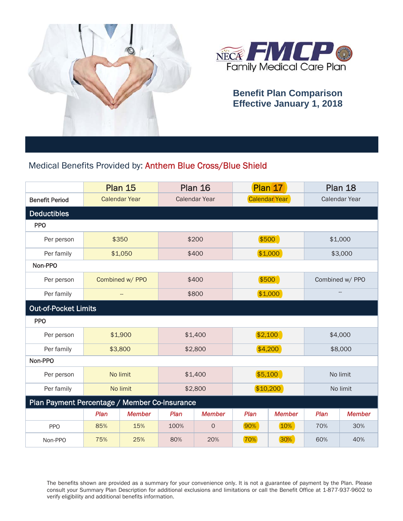



## **Benefit Plan Comparison Effective January 1, 2018**

## Medical Benefits Provided by: Anthem Blue Cross/Blue Shield

|                                               |          | <b>Plan 15</b>       | <b>Plan 16</b> |               | Plan 17       |               | <b>Plan 18</b> |                 |  |
|-----------------------------------------------|----------|----------------------|----------------|---------------|---------------|---------------|----------------|-----------------|--|
| <b>Benefit Period</b>                         |          | <b>Calendar Year</b> | Calendar Year  |               | Calendar Year |               | Calendar Year  |                 |  |
| Deductibles                                   |          |                      |                |               |               |               |                |                 |  |
| <b>PPO</b>                                    |          |                      |                |               |               |               |                |                 |  |
| Per person                                    | \$350    |                      | \$200          |               | \$500         |               | \$1,000        |                 |  |
| Per family                                    |          | \$1,050              |                | \$400         | \$1,000       |               | \$3,000        |                 |  |
| Non-PPO                                       |          |                      |                |               |               |               |                |                 |  |
| Per person                                    |          | Combined w/ PPO      | \$400          |               |               | \$500         |                | Combined w/ PPO |  |
| Per family                                    | --       |                      | \$800          |               | \$1,000       |               |                |                 |  |
| <b>Out-of-Pocket Limits</b>                   |          |                      |                |               |               |               |                |                 |  |
| <b>PPO</b>                                    |          |                      |                |               |               |               |                |                 |  |
| Per person                                    | \$1,900  |                      |                | \$1,400       |               | \$2,100       |                | \$4,000         |  |
| Per family                                    | \$3,800  |                      | \$2,800        |               | \$4,200       |               | \$8,000        |                 |  |
| Non-PPO                                       |          |                      |                |               |               |               |                |                 |  |
| Per person                                    | No limit |                      | \$1,400        |               | \$5,100       |               | No limit       |                 |  |
| Per family                                    | No limit |                      | \$2,800        |               | \$10,200      |               | No limit       |                 |  |
| Plan Payment Percentage / Member Co-Insurance |          |                      |                |               |               |               |                |                 |  |
|                                               | Plan     | <b>Member</b>        | Plan           | <b>Member</b> | Plan          | <b>Member</b> | Plan           | <b>Member</b>   |  |
| <b>PPO</b>                                    | 85%      | 15%                  | 100%           | $\circ$       | 90%           | 10%           | 70%            | 30%             |  |
| Non-PPO                                       | 75%      | 25%                  | 80%            | 20%           | 70%           | 30%           | 60%            | 40%             |  |

The benefits shown are provided as a summary for your convenience only. It is not a guarantee of payment by the Plan. Please consult your Summary Plan Description for additional exclusions and limitations or call the Benefit Office at 1-877-937-9602 to verify eligibility and additional benefits information.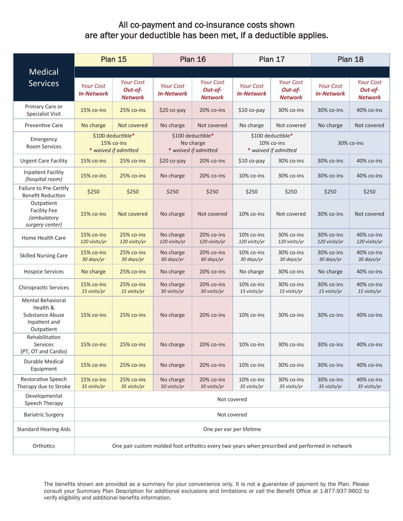## All co-payment and co-insurance costs shown are after your deductible has been met, if a deductible applies.

|                                                                                        |                                                                                                | <b>Plan 15</b>                                | Plan 16<br>Plan 17                                     |                                               |                                                         |                                               | Plan 18                               |                                               |  |
|----------------------------------------------------------------------------------------|------------------------------------------------------------------------------------------------|-----------------------------------------------|--------------------------------------------------------|-----------------------------------------------|---------------------------------------------------------|-----------------------------------------------|---------------------------------------|-----------------------------------------------|--|
| <b>Medical</b>                                                                         |                                                                                                |                                               |                                                        |                                               |                                                         |                                               |                                       |                                               |  |
| <b>Services</b>                                                                        | <b>Your Cost</b><br><b>In-Network</b>                                                          | <b>Your Cost</b><br>Out-of-<br><b>Network</b> | <b>Your Cost</b><br><b>In-Network</b>                  | <b>Your Cost</b><br>Out-of-<br><b>Network</b> | <b>Your Cost</b><br><b>In-Network</b>                   | <b>Your Cost</b><br>Out-of-<br><b>Network</b> | <b>Your Cost</b><br><b>In-Network</b> | <b>Your Cost</b><br>Out-of-<br><b>Network</b> |  |
| Primary Care or<br><b>Specialist Visit</b>                                             | 15% co-ins                                                                                     | 25% co-ins                                    | \$20 co-pay                                            | 20% co-ins                                    | $$10$ co-pay                                            | 30% co-ins                                    | 30% co-ins                            | 40% co-ins                                    |  |
| <b>Preventive Care</b>                                                                 | No charge                                                                                      | Not covered                                   | No charge                                              | Not covered                                   | No charge                                               | Not covered                                   | No charge                             | Not covered                                   |  |
| Emergency<br><b>Room Services</b>                                                      | \$100 deductible*<br>15% co-ins<br>* waived if admitted                                        |                                               | \$100 deductible*<br>No charge<br>* waived if admitted |                                               | \$100 deductible*<br>10% co-ins<br>* waived if admitted |                                               | 30% co-ins                            |                                               |  |
| <b>Urgent Care Facility</b>                                                            | 15% co-ins                                                                                     | 25% co-ins                                    | \$20 co-pay                                            | 20% co-ins                                    | $$10 co-pay$                                            | 30% co-ins                                    | 30% co-ins                            | 40% co-ins                                    |  |
| <b>Inpatient Facility</b><br>(hospital room)                                           | 15% co-ins                                                                                     | 25% co-ins                                    | No charge                                              | 20% co-ins                                    | 10% co-ins                                              | 30% co-ins                                    | 30% co-ins                            | 40% co-ins                                    |  |
| Failure to Pre-Certify<br><b>Benefit Reduction</b>                                     | \$250                                                                                          | \$250                                         | \$250                                                  | \$250                                         | \$250                                                   | \$250                                         | \$250                                 | \$250                                         |  |
| Outpatient<br><b>Facility Fee</b><br><i>(ambulatory</i><br>surgery center)             | 15% co-ins                                                                                     | Not covered                                   | No charge                                              | Not covered                                   | 10% co-ins                                              | Not covered                                   | 30% co-ins                            | Not covered                                   |  |
| Home Health Care                                                                       | 15% co-ins<br>120 visits/yr                                                                    | 25% co-ins<br>120 visits/yr                   | No charge<br>120 visits/yr                             | 20% co-ins<br>120 visits/yr                   | $10\%$ co-ins<br>120 visits/yr                          | 30% co-ins<br>120 visits/yr                   | 30% co-ins<br>120 visits/yr           | 40% co-ins<br>120 visits/yr                   |  |
| <b>Skilled Nursing Care</b>                                                            | 15% co-ins<br>30 days/yr                                                                       | 25% co-ins<br>30 days/yr                      | No charge<br>60 days/yr                                | 20% co-ins<br>60 days/yr                      | 10% co-ins<br>30 days/yr                                | 30% co-ins<br>30 days/yr                      | 30% co-ins<br>30 days/yr              | 40% co-ins<br>30 days/yr                      |  |
| <b>Hospice Services</b>                                                                | No charge                                                                                      | 25% co-ins                                    | No charge                                              | 20% co-ins                                    | No charge                                               | 30% co-ins                                    | No charge                             | 40% co-ins                                    |  |
| <b>Chiropractic Services</b>                                                           | 15% co-ins<br>15 visits/yr                                                                     | 25% co-ins<br>15 visits/yr                    | No charge<br>30 visits/yr                              | 20% co-ins<br>30 visits/yr                    | 10% co-ins<br>15 visits/yr                              | 30% co-ins<br>15 visits/yr                    | 30% co-ins<br>15 visits/yr            | 40% co-ins<br>15 visits/yr                    |  |
| <b>Mental Behavioral</b><br>Health &<br>Substance Abuse<br>Inpatient and<br>Outpatient | 15% co-ins                                                                                     | 25% co-ins                                    | No charge                                              | 20% co-ins                                    | 10% co-ins                                              | 30% co-ins                                    | 30% co-ins                            | 40% co-ins                                    |  |
| Rehabilitation<br><b>Services</b><br>(PT, OT and Cardio)                               | 15% co-ins                                                                                     | 25% co-ins                                    | No charge                                              | 20% co-ins                                    | 10% co-ins                                              | 30% co-ins                                    | 30% co-ins                            | 40% co-ins                                    |  |
| Durable Medical<br>Equipment                                                           | 15% co-ins                                                                                     | 25% co-ins                                    | No charge                                              | 20% co-ins                                    | 10% co-ins                                              | 30% co-ins                                    | 30% co-ins                            | 40% co-ins                                    |  |
| Restorative Speech<br>Therapy due to Stroke                                            | 15% co-ins<br>35 visits/yr                                                                     | 25% co-ins<br>35 visits/yr                    | No charge<br>50 visits/yr                              | 20% co-ins<br>50 visits/yr                    | 10% co-ins<br>35 visits/yr                              | 30% co-ins<br>35 visits/yr                    | 30% co-ins<br>35 visits/yr            | 40% co-ins<br>35 visits/yr                    |  |
| Developmental<br>Speech Therapy                                                        | Not covered                                                                                    |                                               |                                                        |                                               |                                                         |                                               |                                       |                                               |  |
| <b>Bariatric Surgery</b>                                                               | Not covered                                                                                    |                                               |                                                        |                                               |                                                         |                                               |                                       |                                               |  |
| <b>Standard Hearing Aids</b>                                                           |                                                                                                | One per ear per lifetime                      |                                                        |                                               |                                                         |                                               |                                       |                                               |  |
| Orthotics                                                                              | One pair custom molded foot orthotics every two years when prescribed and performed in network |                                               |                                                        |                                               |                                                         |                                               |                                       |                                               |  |

The benefits shown are provided as a summary for your convenience only. It is not a guarantee of payment by the Plan. Please consult your Summary Plan Description for additional exclusions and limitations or call the Benefit Office at 1-877-937-9602 to verify eligibility and additional benefits information.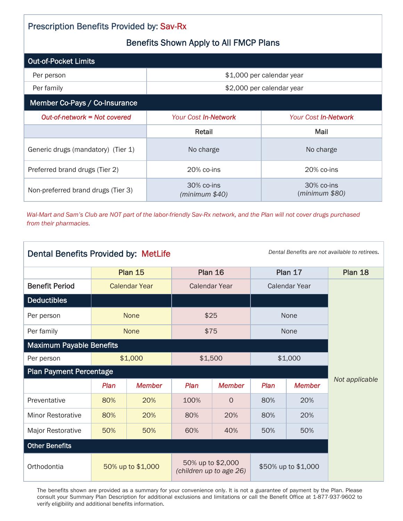| <b>Prescription Benefits Provided by: Sav-Rx</b> |                              |                              |  |  |  |  |
|--------------------------------------------------|------------------------------|------------------------------|--|--|--|--|
| <b>Benefits Shown Apply to All FMCP Plans</b>    |                              |                              |  |  |  |  |
| <b>Out-of-Pocket Limits</b>                      |                              |                              |  |  |  |  |
| Per person                                       |                              | \$1,000 per calendar year    |  |  |  |  |
| Per family                                       | \$2,000 per calendar year    |                              |  |  |  |  |
| Member Co-Pays / Co-Insurance                    |                              |                              |  |  |  |  |
| Out-of-network = Not covered                     | Your Cost In-Network         | <b>Your Cost In-Network</b>  |  |  |  |  |
|                                                  | Retail                       | Mail                         |  |  |  |  |
| Generic drugs (mandatory) (Tier 1)               | No charge                    | No charge                    |  |  |  |  |
| Preferred brand drugs (Tier 2)                   | 20% co-ins                   | 20% co-ins                   |  |  |  |  |
| Non-preferred brand drugs (Tier 3)               | 30% co-ins<br>(minimum \$40) | 30% co-ins<br>(minimum \$80) |  |  |  |  |

*Wal-Mart and Sam's Club are NOT part of the labor-friendly Sav-Rx network, and the Plan will not cover drugs purchased from their pharmacies.*

| Dental Benefits are not available to retirees.<br>Dental Benefits Provided by: MetLife |                      |               |                                              |                |                      |               |                |
|----------------------------------------------------------------------------------------|----------------------|---------------|----------------------------------------------|----------------|----------------------|---------------|----------------|
|                                                                                        | <b>Plan 15</b>       |               | <b>Plan 16</b>                               |                | Plan 17              |               | Plan 18        |
| <b>Benefit Period</b>                                                                  | <b>Calendar Year</b> |               | <b>Calendar Year</b>                         |                | <b>Calendar Year</b> |               |                |
| <b>Deductibles</b>                                                                     |                      |               |                                              |                |                      |               |                |
| Per person                                                                             |                      | <b>None</b>   | \$25                                         |                | None                 |               |                |
| Per family                                                                             | <b>None</b>          |               |                                              | \$75           |                      | None          |                |
| <b>Maximum Payable Benefits</b>                                                        |                      |               |                                              |                |                      |               |                |
| Per person                                                                             | \$1,000              |               | \$1,500                                      |                | \$1,000              |               |                |
| <b>Plan Payment Percentage</b>                                                         |                      |               |                                              |                |                      |               |                |
|                                                                                        | Plan                 | <b>Member</b> | Plan                                         | <b>Member</b>  | Plan                 | <b>Member</b> | Not applicable |
| Preventative                                                                           | 80%                  | 20%           | 100%                                         | $\overline{O}$ | 80%                  | 20%           |                |
| <b>Minor Restorative</b>                                                               | 80%                  | 20%           | 80%                                          | 20%            | 80%                  | 20%           |                |
| Major Restorative                                                                      | 50%                  | 50%           | 60%                                          | 40%            | 50%                  | 50%           |                |
| <b>Other Benefits</b>                                                                  |                      |               |                                              |                |                      |               |                |
| Orthodontia                                                                            | 50% up to \$1,000    |               | 50% up to \$2,000<br>(children up to age 26) |                | \$50% up to \$1,000  |               |                |

The benefits shown are provided as a summary for your convenience only. It is not a guarantee of payment by the Plan. Please consult your Summary Plan Description for additional exclusions and limitations or call the Benefit Office at 1-877-937-9602 to verify eligibility and additional benefits information.